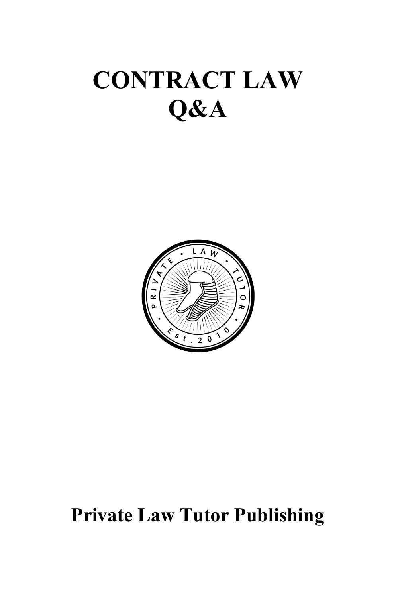# **CONTRACT LAW Q&A**



# **Private Law Tutor Publishing**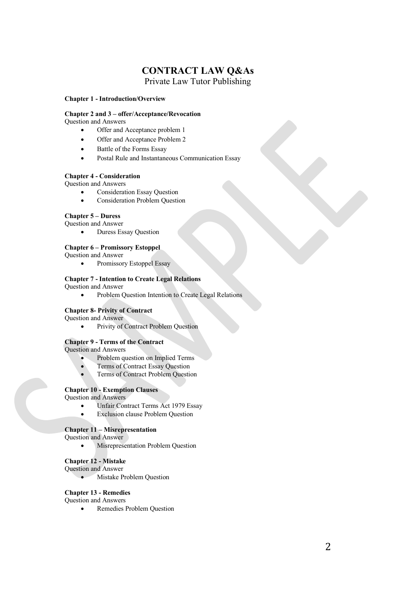# **CONTRACT LAW Q&As** Private Law Tutor Publishing

#### **Chapter 1 - Introduction/Overview**

### **Chapter 2 and 3 – offer/Acceptance/Revocation**

Question and Answers

- Offer and Acceptance problem 1
- Offer and Acceptance Problem 2
- Battle of the Forms Essay
- Postal Rule and Instantaneous Communication Essay

#### **Chapter 4 - Consideration**

Question and Answers

- Consideration Essay Question
- Consideration Problem Question

### **Chapter 5 – Duress**

Question and Answer

• Duress Essay Question

#### **Chapter 6 – Promissory Estoppel**

Question and Answer

• Promissory Estoppel Essay

### **Chapter 7 - Intention to Create Legal Relations**

Question and Answer

• Problem Question Intention to Create Legal Relations

#### **Chapter 8- Privity of Contract**

Question and Answer

• Privity of Contract Problem Question

### **Chapter 9 - Terms of the Contract**

Question and Answers

- Problem question on Implied Terms
- Terms of Contract Essay Question
- Terms of Contract Problem Question

### **Chapter 10 - Exemption Clauses**

Question and Answers

- Unfair Contract Terms Act 1979 Essay
- **Exclusion clause Problem Question**

#### **Chapter 11 – Misrepresentation**

Question and Answer

• Misrepresentation Problem Question

#### **Chapter 12 - Mistake**

Question and Answer

• Mistake Problem Question

### **Chapter 13 - Remedies**

Question and Answers

• Remedies Problem Question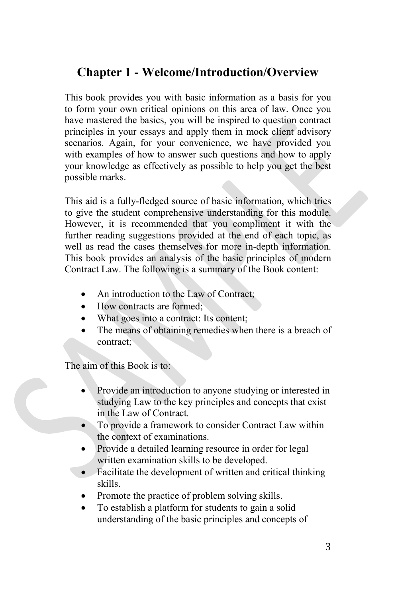# **Chapter 1 - Welcome/Introduction/Overview**

This book provides you with basic information as a basis for you to form your own critical opinions on this area of law. Once you have mastered the basics, you will be inspired to question contract principles in your essays and apply them in mock client advisory scenarios. Again, for your convenience, we have provided you with examples of how to answer such questions and how to apply your knowledge as effectively as possible to help you get the best possible marks.

This aid is a fully-fledged source of basic information, which tries to give the student comprehensive understanding for this module. However, it is recommended that you compliment it with the further reading suggestions provided at the end of each topic, as well as read the cases themselves for more in-depth information. This book provides an analysis of the basic principles of modern Contract Law. The following is a summary of the Book content:

- An introduction to the Law of Contract;
- How contracts are formed:
- What goes into a contract: Its content;
- The means of obtaining remedies when there is a breach of contract;

The aim of this Book is to:

- Provide an introduction to anyone studying or interested in studying Law to the key principles and concepts that exist in the Law of Contract*.*
- To provide a framework to consider Contract Law within the context of examinations.
- Provide a detailed learning resource in order for legal written examination skills to be developed.
- Facilitate the development of written and critical thinking skills.
- Promote the practice of problem solving skills.
- To establish a platform for students to gain a solid understanding of the basic principles and concepts of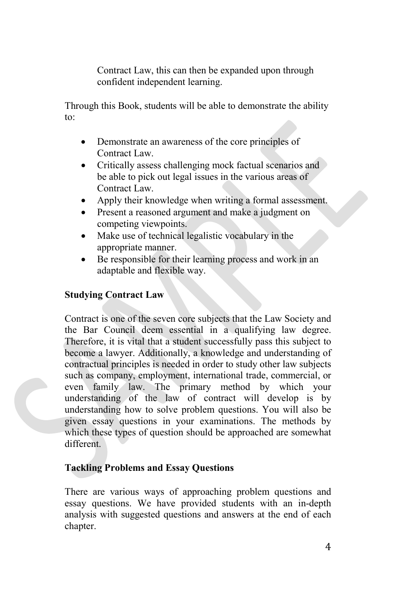Contract Law, this can then be expanded upon through confident independent learning.

Through this Book, students will be able to demonstrate the ability to:

- Demonstrate an awareness of the core principles of Contract Law.
- Critically assess challenging mock factual scenarios and be able to pick out legal issues in the various areas of Contract Law.
- Apply their knowledge when writing a formal assessment.
- Present a reasoned argument and make a judgment on competing viewpoints.
- Make use of technical legalistic vocabulary in the appropriate manner.
- Be responsible for their learning process and work in an adaptable and flexible way.

# **Studying Contract Law**

Contract is one of the seven core subjects that the Law Society and the Bar Council deem essential in a qualifying law degree. Therefore, it is vital that a student successfully pass this subject to become a lawyer. Additionally, a knowledge and understanding of contractual principles is needed in order to study other law subjects such as company, employment, international trade, commercial, or even family law. The primary method by which your understanding of the law of contract will develop is by understanding how to solve problem questions. You will also be given essay questions in your examinations. The methods by which these types of question should be approached are somewhat different.

# **Tackling Problems and Essay Questions**

There are various ways of approaching problem questions and essay questions. We have provided students with an in-depth analysis with suggested questions and answers at the end of each chapter.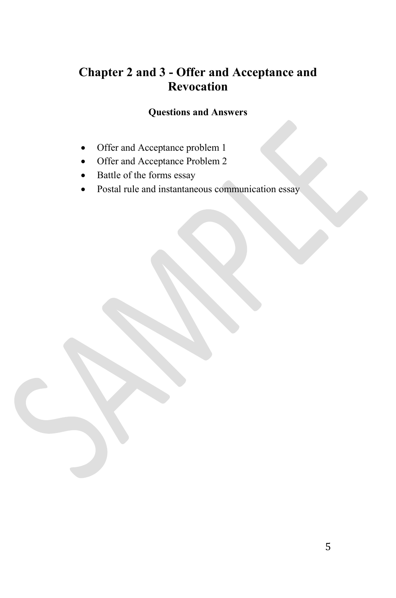# **Chapter 2 and 3 - Offer and Acceptance and Revocation**

# **Questions and Answers**

- Offer and Acceptance problem 1
- Offer and Acceptance Problem 2
- Battle of the forms essay
- Postal rule and instantaneous communication essay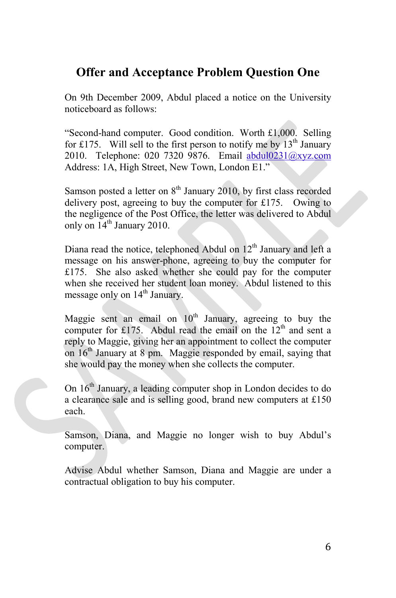# **Offer and Acceptance Problem Question One**

On 9th December 2009, Abdul placed a notice on the University noticeboard as follows:

"Second-hand computer. Good condition. Worth £1,000. Selling for £175. Will sell to the first person to notify me by  $13<sup>th</sup>$  January 2010. Telephone: 020 7320 9876. Email abdul0231@xyz.com Address: 1A, High Street, New Town, London E1."

Samson posted a letter on  $8<sup>th</sup>$  January 2010, by first class recorded delivery post, agreeing to buy the computer for £175. Owing to the negligence of the Post Office, the letter was delivered to Abdul only on  $14^{\text{th}}$  January 2010.

Diana read the notice, telephoned Abdul on  $12<sup>th</sup>$  January and left a message on his answer-phone, agreeing to buy the computer for £175. She also asked whether she could pay for the computer when she received her student loan money. Abdul listened to this message only on 14<sup>th</sup> January.

Maggie sent an email on  $10<sup>th</sup>$  January, agreeing to buy the computer for £175. Abdul read the email on the  $12<sup>th</sup>$  and sent a reply to Maggie, giving her an appointment to collect the computer on 16<sup>th</sup> January at 8 pm. Maggie responded by email, saying that she would pay the money when she collects the computer.

On 16th January, a leading computer shop in London decides to do a clearance sale and is selling good, brand new computers at £150 each.

Samson, Diana, and Maggie no longer wish to buy Abdul's computer.

Advise Abdul whether Samson, Diana and Maggie are under a contractual obligation to buy his computer.

6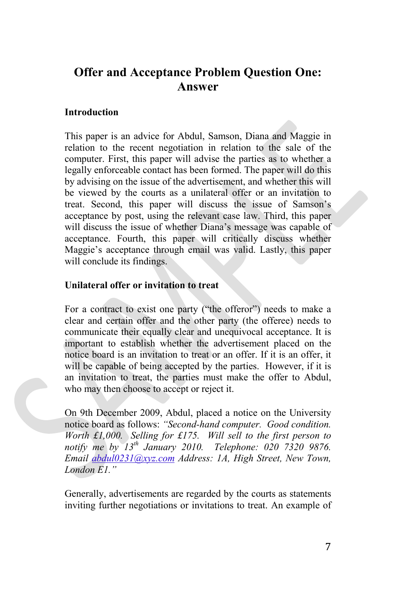# **Offer and Acceptance Problem Question One: Answer**

# **Introduction**

This paper is an advice for Abdul, Samson, Diana and Maggie in relation to the recent negotiation in relation to the sale of the computer. First, this paper will advise the parties as to whether a legally enforceable contact has been formed. The paper will do this by advising on the issue of the advertisement, and whether this will be viewed by the courts as a unilateral offer or an invitation to treat. Second, this paper will discuss the issue of Samson's acceptance by post, using the relevant case law. Third, this paper will discuss the issue of whether Diana's message was capable of acceptance. Fourth, this paper will critically discuss whether Maggie's acceptance through email was valid. Lastly, this paper will conclude its findings.

# **Unilateral offer or invitation to treat**

For a contract to exist one party ("the offeror") needs to make a clear and certain offer and the other party (the offeree) needs to communicate their equally clear and unequivocal acceptance. It is important to establish whether the advertisement placed on the notice board is an invitation to treat or an offer. If it is an offer, it will be capable of being accepted by the parties. However, if it is an invitation to treat, the parties must make the offer to Abdul, who may then choose to accept or reject it.

On 9th December 2009, Abdul, placed a notice on the University notice board as follows: *"Second-hand computer. Good condition. Worth £1,000. Selling for £175. Will sell to the first person to notify me by 13th January 2010. Telephone: 020 7320 9876. Email abdul0231@xyz.com Address: 1A, High Street, New Town, London E1."*

Generally, advertisements are regarded by the courts as statements inviting further negotiations or invitations to treat. An example of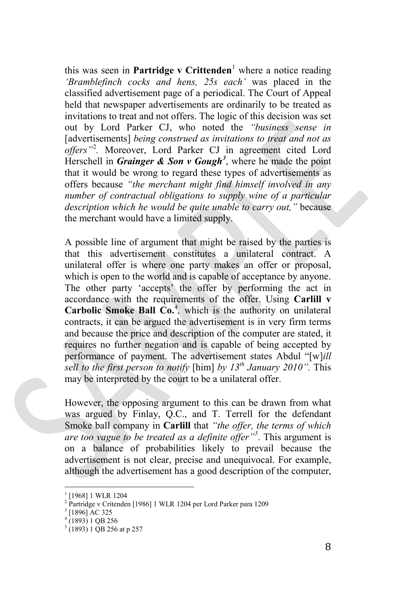this was seen in **Partridge v Crittenden**<sup>[1](#page-7-0)</sup> where a notice reading *'Bramblefinch cocks and hens, 25s each'* was placed in the classified advertisement page of a periodical. The Court of Appeal held that newspaper advertisements are ordinarily to be treated as invitations to treat and not offers. The logic of this decision was set out by Lord Parker CJ, who noted the *"business sense in*  [advertisements] *being construed as invitations to treat and not as offers"*[2](#page-7-1) *.* Moreover, Lord Parker CJ in agreement cited Lord Herschell in *Grainger & Son v Gough[3](#page-7-2)* , where he made the point that it would be wrong to regard these types of advertisements as offers because *"the merchant might find himself involved in any number of contractual obligations to supply wine of a particular description which he would be quite unable to carry out,"* because the merchant would have a limited supply.

A possible line of argument that might be raised by the parties is that this advertisement constitutes a unilateral contract. A unilateral offer is where one party makes an offer or proposal, which is open to the world and is capable of acceptance by anyone. The other party 'accepts' the offer by performing the act in accordance with the requirements of the offer. Using **Carlill v Carbolic Smoke Ball Co.**<sup>[4](#page-7-3)</sup>, which is the authority on unilateral contracts, it can be argued the advertisement is in very firm terms and because the price and description of the computer are stated, it requires no further negation and is capable of being accepted by performance of payment. The advertisement states Abdul "[w]*ill sell to the first person to notify* [him] *by 13th January 2010".* This may be interpreted by the court to be a unilateral offer.

However, the opposing argument to this can be drawn from what was argued by Finlay, Q.C., and T. Terrell for the defendant Smoke ball company in **Carlill** that *"the offer, the terms of which are too vague to be treated as a definite offer"[5](#page-7-4)* . This argument is on a balance of probabilities likely to prevail because the advertisement is not clear, precise and unequivocal. For example, although the advertisement has a good description of the computer,

<span id="page-7-0"></span><sup>[1968] 1</sup> WLR 1204

<span id="page-7-1"></span><sup>2</sup> Partridge v Critenden [1986] 1 WLR 1204 per Lord Parker para 1209

<sup>3</sup> [1896] AC 325

<span id="page-7-3"></span><span id="page-7-2"></span> $4(1893) 1$  QB 256

<span id="page-7-4"></span> $5(1893)$  1 QB 256 at p 257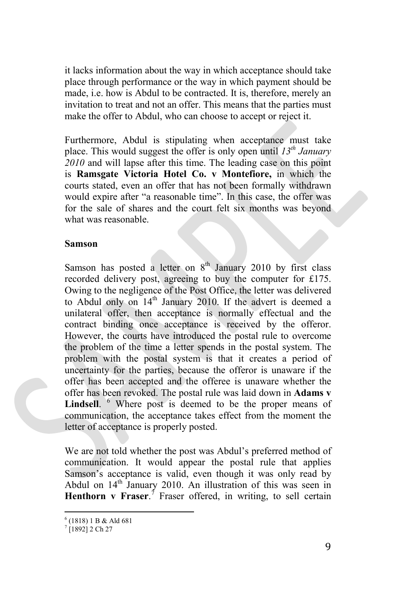it lacks information about the way in which acceptance should take place through performance or the way in which payment should be made, i.e. how is Abdul to be contracted. It is, therefore, merely an invitation to treat and not an offer. This means that the parties must make the offer to Abdul, who can choose to accept or reject it.

Furthermore, Abdul is stipulating when acceptance must take place. This would suggest the offer is only open until *13th January 2010* and will lapse after this time. The leading case on this point is **Ramsgate Victoria Hotel Co. v Montefiore,** in which the courts stated, even an offer that has not been formally withdrawn would expire after "a reasonable time". In this case, the offer was for the sale of shares and the court felt six months was beyond what was reasonable.

## **Samson**

Samson has posted a letter on  $8<sup>th</sup>$  January 2010 by first class recorded delivery post, agreeing to buy the computer for £175. Owing to the negligence of the Post Office, the letter was delivered to Abdul only on  $14<sup>th</sup>$  January 2010. If the advert is deemed a unilateral offer, then acceptance is normally effectual and the contract binding once acceptance is received by the offeror. However, the courts have introduced the postal rule to overcome the problem of the time a letter spends in the postal system. The problem with the postal system is that it creates a period of uncertainty for the parties, because the offeror is unaware if the offer has been accepted and the offeree is unaware whether the offer has been revoked. The postal rule was laid down in **Adams v**  Lindsell. <sup>[6](#page-8-0)</sup> Where post is deemed to be the proper means of communication, the acceptance takes effect from the moment the letter of acceptance is properly posted.

We are not told whether the post was Abdul's preferred method of communication. It would appear the postal rule that applies Samson's acceptance is valid, even though it was only read by Abdul on 14<sup>th</sup> January 2010. An illustration of this was seen in Henthorn v Fraser.<sup>[7](#page-8-1)</sup> Fraser offered, in writing, to sell certain

 $6$  (1818) 1 B & Ald 681

<span id="page-8-1"></span><span id="page-8-0"></span> $7$ [1892] 2 Ch 27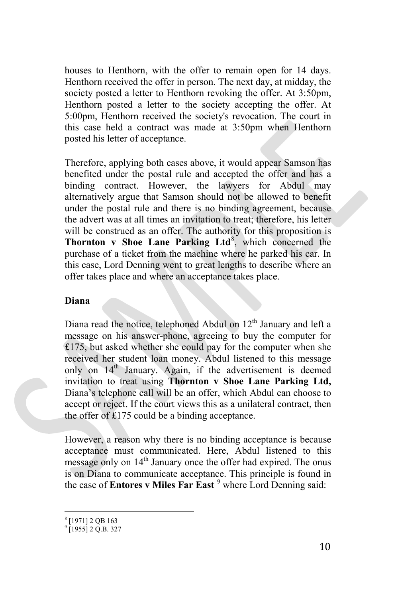houses to Henthorn, with the offer to remain open for 14 days. Henthorn received the offer in person. The next day, at midday, the society posted a letter to Henthorn revoking the offer. At 3:50pm, Henthorn posted a letter to the society accepting the offer. At 5:00pm, Henthorn received the society's revocation. The court in this case held a contract was made at 3:50pm when Henthorn posted his letter of acceptance.

Therefore, applying both cases above, it would appear Samson has benefited under the postal rule and accepted the offer and has a binding contract. However, the lawyers for Abdul may alternatively argue that Samson should not be allowed to benefit under the postal rule and there is no binding agreement, because the advert was at all times an invitation to treat; therefore, his letter will be construed as an offer. The authority for this proposition is Thornton v Shoe Lane Parking Ltd<sup>[8](#page-9-0)</sup>, which concerned the purchase of a ticket from the machine where he parked his car. In this case, Lord Denning went to great lengths to describe where an offer takes place and where an acceptance takes place.

# **Diana**

Diana read the notice, telephoned Abdul on  $12<sup>th</sup>$  January and left a message on his answer-phone, agreeing to buy the computer for £175, but asked whether she could pay for the computer when she received her student loan money. Abdul listened to this message only on  $14<sup>th</sup>$  January. Again, if the advertisement is deemed invitation to treat using **Thornton v Shoe Lane Parking Ltd,** Diana's telephone call will be an offer, which Abdul can choose to accept or reject. If the court views this as a unilateral contract, then the offer of £175 could be a binding acceptance.

However, a reason why there is no binding acceptance is because acceptance must communicated. Here, Abdul listened to this message only on  $14<sup>th</sup>$  January once the offer had expired. The onus is on Diana to communicate acceptance. This principle is found in the case of **Entores v Miles Far East** <sup>[9](#page-9-1)</sup> where Lord Denning said:

<sup>8</sup> [1971] 2 QB 163

<span id="page-9-1"></span><span id="page-9-0"></span> $9$  [1955] 2 O.B. 327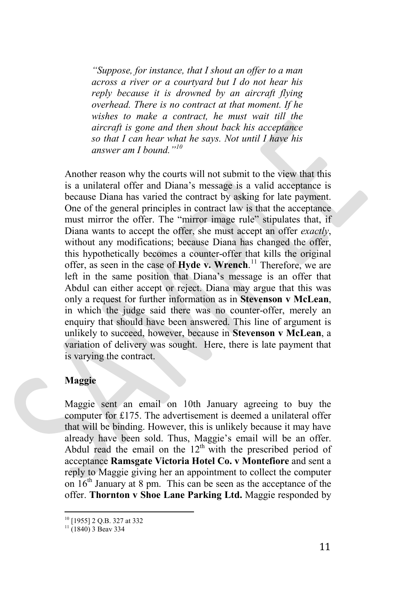*"Suppose, for instance, that I shout an offer to a man across a river or a courtyard but I do not hear his reply because it is drowned by an aircraft flying overhead. There is no contract at that moment. If he wishes to make a contract, he must wait till the aircraft is gone and then shout back his acceptance so that I can hear what he says. Not until I have his answer am I bound."[10](#page-10-0)*

Another reason why the courts will not submit to the view that this is a unilateral offer and Diana's message is a valid acceptance is because Diana has varied the contract by asking for late payment. One of the general principles in contract law is that the acceptance must mirror the offer. The "mirror image rule" stipulates that, if Diana wants to accept the offer, she must accept an offer *exactly*, without any modifications; because Diana has changed the offer, this hypothetically becomes a counter-offer that kills the original offer, as seen in the case of **Hyde v. Wrench**. [11](#page-10-1) Therefore, we are left in the same position that Diana's message is an offer that Abdul can either accept or reject. Diana may argue that this was only a request for further information as in **Stevenson v McLean**, in which the judge said there was no counter-offer, merely an enquiry that should have been answered. This line of argument is unlikely to succeed, however, because in **Stevenson v McLean**, a variation of delivery was sought. Here, there is late payment that is varying the contract.

## **Maggie**

Maggie sent an email on 10th January agreeing to buy the computer for £175. The advertisement is deemed a unilateral offer that will be binding. However, this is unlikely because it may have already have been sold. Thus, Maggie's email will be an offer. Abdul read the email on the  $12<sup>th</sup>$  with the prescribed period of acceptance **Ramsgate Victoria Hotel Co. v Montefiore** and sent a reply to Maggie giving her an appointment to collect the computer on  $16<sup>th</sup>$  January at 8 pm. This can be seen as the acceptance of the offer. **Thornton v Shoe Lane Parking Ltd.** Maggie responded by

<span id="page-10-0"></span><sup>&</sup>lt;sup>10</sup> [1955] 2 Q.B. 327 at 332

<span id="page-10-1"></span> $11$  (1840) 3 Beav 334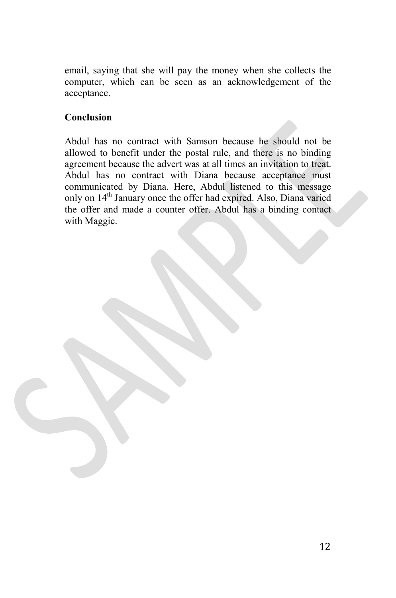email, saying that she will pay the money when she collects the computer, which can be seen as an acknowledgement of the acceptance.

# **Conclusion**

Abdul has no contract with Samson because he should not be allowed to benefit under the postal rule, and there is no binding agreement because the advert was at all times an invitation to treat. Abdul has no contract with Diana because acceptance must communicated by Diana. Here, Abdul listened to this message only on 14<sup>th</sup> January once the offer had expired. Also, Diana varied the offer and made a counter offer. Abdul has a binding contact with Maggie.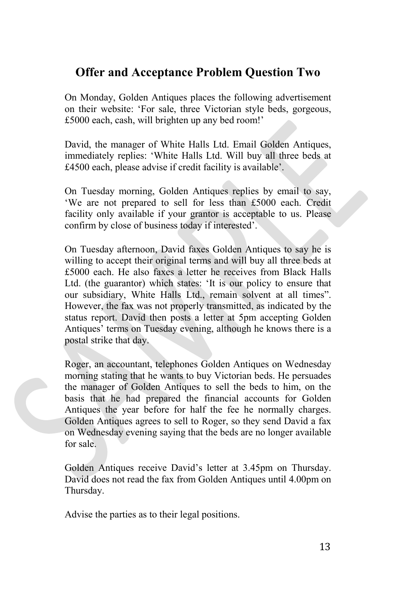# **Offer and Acceptance Problem Question Two**

On Monday, Golden Antiques places the following advertisement on their website: 'For sale, three Victorian style beds, gorgeous, £5000 each, cash, will brighten up any bed room!'

David, the manager of White Halls Ltd. Email Golden Antiques, immediately replies: 'White Halls Ltd. Will buy all three beds at £4500 each, please advise if credit facility is available'.

On Tuesday morning, Golden Antiques replies by email to say, 'We are not prepared to sell for less than £5000 each. Credit facility only available if your grantor is acceptable to us. Please confirm by close of business today if interested'.

On Tuesday afternoon, David faxes Golden Antiques to say he is willing to accept their original terms and will buy all three beds at £5000 each. He also faxes a letter he receives from Black Halls Ltd. (the guarantor) which states: 'It is our policy to ensure that our subsidiary, White Halls Ltd., remain solvent at all times". However, the fax was not properly transmitted, as indicated by the status report. David then posts a letter at 5pm accepting Golden Antiques' terms on Tuesday evening, although he knows there is a postal strike that day.

Roger, an accountant, telephones Golden Antiques on Wednesday morning stating that he wants to buy Victorian beds. He persuades the manager of Golden Antiques to sell the beds to him, on the basis that he had prepared the financial accounts for Golden Antiques the year before for half the fee he normally charges. Golden Antiques agrees to sell to Roger, so they send David a fax on Wednesday evening saying that the beds are no longer available for sale.

Golden Antiques receive David's letter at 3.45pm on Thursday. David does not read the fax from Golden Antiques until 4.00pm on Thursday.

Advise the parties as to their legal positions.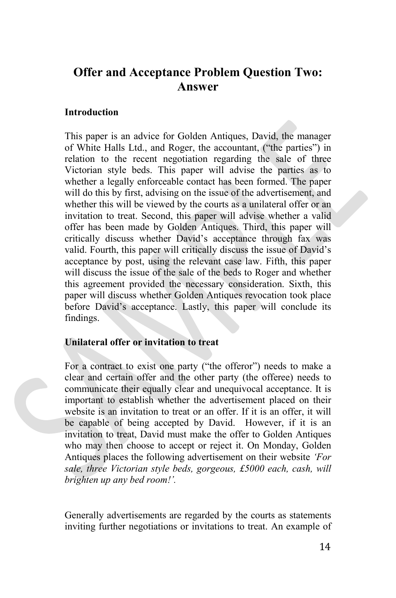# **Offer and Acceptance Problem Question Two: Answer**

# **Introduction**

This paper is an advice for Golden Antiques, David, the manager of White Halls Ltd., and Roger, the accountant, ("the parties") in relation to the recent negotiation regarding the sale of three Victorian style beds. This paper will advise the parties as to whether a legally enforceable contact has been formed. The paper will do this by first, advising on the issue of the advertisement, and whether this will be viewed by the courts as a unilateral offer or an invitation to treat. Second, this paper will advise whether a valid offer has been made by Golden Antiques. Third, this paper will critically discuss whether David's acceptance through fax was valid. Fourth, this paper will critically discuss the issue of David's acceptance by post, using the relevant case law. Fifth, this paper will discuss the issue of the sale of the beds to Roger and whether this agreement provided the necessary consideration. Sixth, this paper will discuss whether Golden Antiques revocation took place before David's acceptance. Lastly, this paper will conclude its findings.

## **Unilateral offer or invitation to treat**

For a contract to exist one party ("the offeror") needs to make a clear and certain offer and the other party (the offeree) needs to communicate their equally clear and unequivocal acceptance. It is important to establish whether the advertisement placed on their website is an invitation to treat or an offer. If it is an offer, it will be capable of being accepted by David. However, if it is an invitation to treat, David must make the offer to Golden Antiques who may then choose to accept or reject it. On Monday, Golden Antiques places the following advertisement on their website *'For sale, three Victorian style beds, gorgeous, £5000 each, cash, will brighten up any bed room!'.*

Generally advertisements are regarded by the courts as statements inviting further negotiations or invitations to treat. An example of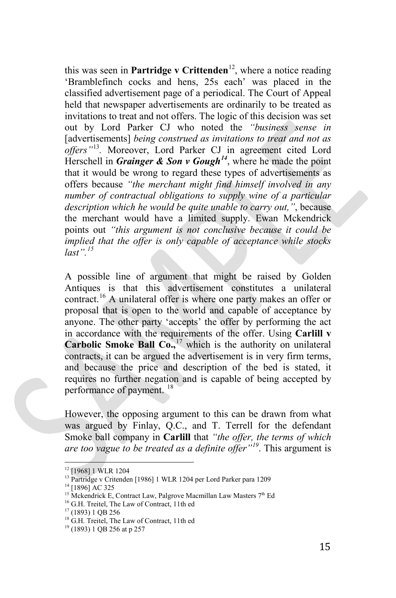this was seen in **Partridge v Crittenden**<sup>[12](#page-14-0)</sup>, where a notice reading 'Bramblefinch cocks and hens, 25s each' was placed in the classified advertisement page of a periodical. The Court of Appeal held that newspaper advertisements are ordinarily to be treated as invitations to treat and not offers. The logic of this decision was set out by Lord Parker CJ who noted the *"business sense in*  [advertisements] *being construed as invitations to treat and not as offers"*[13](#page-14-1)*.* Moreover, Lord Parker CJ in agreement cited Lord Herschell in *Grainger & Son v Gough[14](#page-14-2)*, where he made the point that it would be wrong to regard these types of advertisements as offers because *"the merchant might find himself involved in any number of contractual obligations to supply wine of a particular description which he would be quite unable to carry out,"*, because the merchant would have a limited supply. Ewan Mckendrick points out *"this argument is not conclusive because it could be implied that the offer is only capable of acceptance while stocks last".[15](#page-14-3)*

A possible line of argument that might be raised by Golden Antiques is that this advertisement constitutes a unilateral contract.<sup>[16](#page-14-4)</sup> A unilateral offer is where one party makes an offer or proposal that is open to the world and capable of acceptance by anyone. The other party 'accepts' the offer by performing the act in accordance with the requirements of the offer. Using **Carlill v Carbolic Smoke Ball Co.**,<sup>[17](#page-14-5)</sup> which is the authority on unilateral contracts, it can be argued the advertisement is in very firm terms, and because the price and description of the bed is stated, it requires no further negation and is capable of being accepted by performance of payment. <sup>[18](#page-14-6)</sup>

However, the opposing argument to this can be drawn from what was argued by Finlay, Q.C., and T. Terrell for the defendant Smoke ball company in **Carlill** that *"the offer, the terms of which are too vague to be treated as a definite offer"[19](#page-14-7)*. This argument is

<span id="page-14-0"></span><sup>&</sup>lt;sup>12</sup> [1968] 1 WLR 1204

<span id="page-14-1"></span> $^{13}$  Partridge v Critenden [1986] 1 WLR 1204 per Lord Parker para 1209 $^{14}$  [1896] AC 325  $\,$ 

<span id="page-14-2"></span>

<span id="page-14-3"></span><sup>&</sup>lt;sup>15</sup> Mckendrick E, Contract Law, Palgrove Macmillan Law Masters 7<sup>th</sup> Ed

<span id="page-14-4"></span><sup>&</sup>lt;sup>16</sup> G.H. Treitel, The Law of Contract, 11th ed<sup>17</sup> (1893) 1 QB 256

<span id="page-14-5"></span>

<span id="page-14-6"></span><sup>&</sup>lt;sup>18</sup> G.H. Treitel, The Law of Contract, 11th ed

<span id="page-14-7"></span><sup>19</sup> (1893) 1 QB 256 at p 257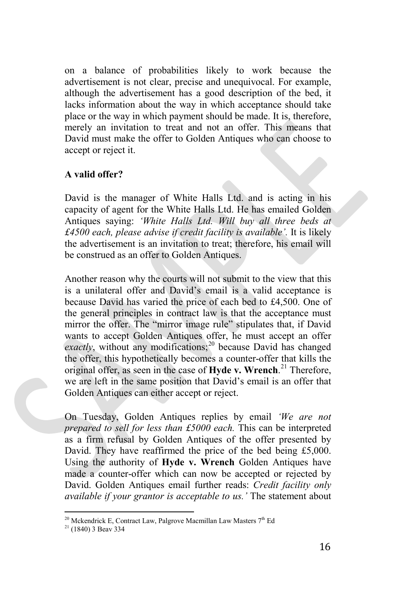on a balance of probabilities likely to work because the advertisement is not clear, precise and unequivocal. For example, although the advertisement has a good description of the bed, it lacks information about the way in which acceptance should take place or the way in which payment should be made. It is, therefore, merely an invitation to treat and not an offer. This means that David must make the offer to Golden Antiques who can choose to accept or reject it.

# **A valid offer?**

David is the manager of White Halls Ltd. and is acting in his capacity of agent for the White Halls Ltd. He has emailed Golden Antiques saying: *'White Halls Ltd. Will buy all three beds at £4500 each, please advise if credit facility is available'.* It is likely the advertisement is an invitation to treat; therefore, his email will be construed as an offer to Golden Antiques.

Another reason why the courts will not submit to the view that this is a unilateral offer and David's email is a valid acceptance is because David has varied the price of each bed to £4,500. One of the general principles in contract law is that the acceptance must mirror the offer. The "mirror image rule" stipulates that, if David wants to accept Golden Antiques offer, he must accept an offer  $\alpha$ *exactly*, without any modifications;<sup>[20](#page-15-0)</sup> because David has changed the offer, this hypothetically becomes a counter-offer that kills the original offer, as seen in the case of **[Hyde v. Wrench](http://en.wikipedia.org/wiki/Hyde_v._Wrench)**. [21](#page-15-1) Therefore, we are left in the same position that David's email is an offer that Golden Antiques can either accept or reject.

On Tuesday, Golden Antiques replies by email *'We are not prepared to sell for less than £5000 each.* This can be interpreted as a firm refusal by Golden Antiques of the offer presented by David. They have reaffirmed the price of the bed being £5,000. Using the authority of **[Hyde v. Wrench](http://en.wikipedia.org/wiki/Hyde_v._Wrench)** Golden Antiques have made a counter-offer which can now be accepted or rejected by David. Golden Antiques email further reads: *Credit facility only available if your grantor is acceptable to us.'* The statement about

<span id="page-15-0"></span> $20$  Mckendrick E, Contract Law, Palgrove Macmillan Law Masters  $7<sup>th</sup>$  Ed

<span id="page-15-1"></span> $21$  (1840) 3 Beav 334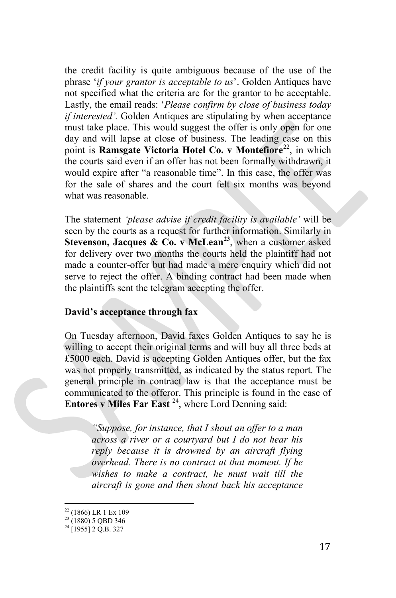the credit facility is quite ambiguous because of the use of the phrase '*if your grantor is acceptable to us*'. Golden Antiques have not specified what the criteria are for the grantor to be acceptable. Lastly, the email reads: '*Please confirm by close of business today if interested'.* Golden Antiques are stipulating by when acceptance must take place. This would suggest the offer is only open for one day and will lapse at close of business. The leading case on this point is **Ramsgate Victoria Hotel Co. v Montefiore**<sup>[22](#page-16-0)</sup>, in which the courts said even if an offer has not been formally withdrawn, it would expire after "a reasonable time". In this case, the offer was for the sale of shares and the court felt six months was beyond what was reasonable.

The statement *'please advise if credit facility is available'* will be seen by the courts as a request for further information. Similarly in **Stevenson, Jacques & Co. v McLean[23](#page-16-1)**, when a customer asked for delivery over two months the courts held the plaintiff had not made a counter-offer but had made a mere enquiry which did not serve to reject the offer. A binding contract had been made when the plaintiffs sent the telegram accepting the offer.

## **David's acceptance through fax**

On Tuesday afternoon, David faxes Golden Antiques to say he is willing to accept their original terms and will buy all three beds at £5000 each. David is accepting Golden Antiques offer, but the fax was not properly transmitted, as indicated by the status report. The general principle in contract law is that the acceptance must be communicated to the offeror. This principle is found in the case of **Entores v Miles Far East** <sup>24</sup>, where Lord Denning said:

*"Suppose, for instance, that I shout an offer to a man across a river or a courtyard but I do not hear his reply because it is drowned by an aircraft flying overhead. There is no contract at that moment. If he wishes to make a contract, he must wait till the aircraft is gone and then shout back his acceptance* 

<span id="page-16-0"></span> $\frac{^{22}}{^{23}}$  (1866) LR 1 Ex 109<br> $\frac{^{23}}{^{23}}$  (1880) 5 QBD 346

<span id="page-16-2"></span><span id="page-16-1"></span> $^{24}$  [1955] 2 Q.B. 327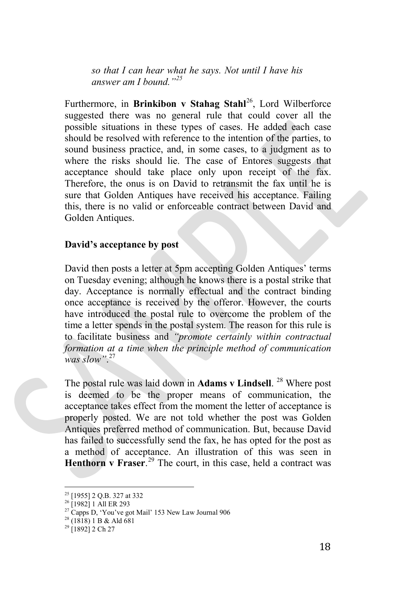*so that I can hear what he says. Not until I have his answer am I bound."[25](#page-17-0)*

Furthermore, in **Brinkibon v Stahag Stahl**<sup>[26](#page-17-1)</sup>, Lord Wilberforce suggested there was no general rule that could cover all the possible situations in these types of cases. He added each case should be resolved with reference to the intention of the parties, to sound business practice, and, in some cases, to a judgment as to where the risks should lie. The case of Entores suggests that acceptance should take place only upon receipt of the fax. Therefore, the onus is on David to retransmit the fax until he is sure that Golden Antiques have received his acceptance. Failing this, there is no valid or enforceable contract between David and Golden Antiques.

### **David's acceptance by post**

David then posts a letter at 5pm accepting Golden Antiques' terms on Tuesday evening; although he knows there is a postal strike that day. Acceptance is normally effectual and the contract binding once acceptance is received by the offeror. However, the courts have introduced the postal rule to overcome the problem of the time a letter spends in the postal system. The reason for this rule is to facilitate business and *"promote certainly within contractual formation at a time when the principle method of communication was slow"*. [27](#page-17-2)

The postal rule was laid down in **Adams v Lindsell**. <sup>[28](#page-17-3)</sup> Where post is deemed to be the proper means of communication, the acceptance takes effect from the moment the letter of acceptance is properly posted. We are not told whether the post was Golden Antiques preferred method of communication. But, because David has failed to successfully send the fax, he has opted for the post as a method of acceptance. An illustration of this was seen in Henthorn v Fraser.<sup>[29](#page-17-4)</sup> The court, in this case, held a contract was

<span id="page-17-0"></span><sup>25</sup> [1955] 2 Q.B. 327 at 332

<sup>&</sup>lt;sup>26</sup> [1982] 1 All ER 293

<span id="page-17-3"></span><span id="page-17-2"></span><span id="page-17-1"></span><sup>&</sup>lt;sup>27</sup> Capps D, 'You've got Mail' 153 New Law Journal 906<sup>28</sup> (1818) 1 B & Ald 681

<span id="page-17-4"></span> $^{29}$  [1892] 2 Ch 27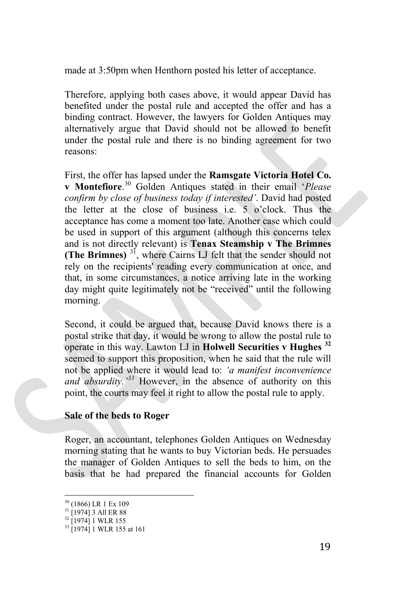made at 3:50pm when Henthorn posted his letter of acceptance.

Therefore, applying both cases above, it would appear David has benefited under the postal rule and accepted the offer and has a binding contract. However, the lawyers for Golden Antiques may alternatively argue that David should not be allowed to benefit under the postal rule and there is no binding agreement for two reasons:

First, the offer has lapsed under the **Ramsgate Victoria Hotel Co. v Montefiore**. [30](#page-18-0) Golden Antiques stated in their email '*Please confirm by close of business today if interested'*. David had posted the letter at the close of business i.e. 5 o'clock. Thus the acceptance has come a moment too late. Another case which could be used in support of this argument (although this concerns telex and is not directly relevant) is **Tenax Steamship v The Brimnes (The Brimnes)** [31,](#page-18-1) where Cairns LJ felt that the sender should not rely on the recipients' reading every communication at once, and that, in some circumstances, a notice arriving late in the working day might quite legitimately not be "received" until the following morning.

Second, it could be argued that, because David knows there is a postal strike that day, it would be wrong to allow the postal rule to operate in this way. Lawton LJ in **Holwell Securities v Hughes [32](#page-18-2)** seemed to support this proposition, when he said that the rule will not be applied where it would lead to: *'a manifest inconvenience and absurdity.'[33](#page-18-3)* However, in the absence of authority on this point, the courts may feel it right to allow the postal rule to apply.

## **Sale of the beds to Roger**

Roger, an accountant, telephones Golden Antiques on Wednesday morning stating that he wants to buy Victorian beds. He persuades the manager of Golden Antiques to sell the beds to him, on the basis that he had prepared the financial accounts for Golden

<span id="page-18-0"></span> $\frac{30}{31}$  (1866) LR 1 Ex 109<br> $\frac{31}{1974}$  3 All ER 88

<span id="page-18-2"></span><span id="page-18-1"></span> $32$  [1974] 1 WLR 155

<span id="page-18-3"></span><sup>&</sup>lt;sup>33</sup> [1974] 1 WLR 155 at 161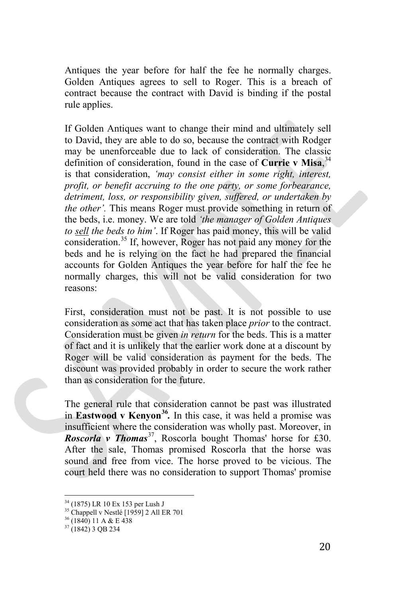Antiques the year before for half the fee he normally charges. Golden Antiques agrees to sell to Roger. This is a breach of contract because the contract with David is binding if the postal rule applies.

If Golden Antiques want to change their mind and ultimately sell to David, they are able to do so, because the contract with Rodger may be unenforceable due to lack of consideration. The classic definition of consideration, found in the case of **Currie v Misa**, [34](#page-19-0) is that consideration, *'may consist either in some right, interest, profit, or benefit accruing to the one party, or some forbearance, detriment, loss, or responsibility given, suffered, or undertaken by the other'.* This means Roger must provide something in return of the beds, i.e. money. We are told *'the manager of Golden Antiques to sell the beds to him'*. If Roger has paid money, this will be valid consideration.[35](#page-19-1) If, however, Roger has not paid any money for the beds and he is relying on the fact he had prepared the financial accounts for Golden Antiques the year before for half the fee he normally charges, this will not be valid consideration for two reasons:

First, consideration must not be past. It is not possible to use consideration as some act that has taken place *prior* to the contract. Consideration must be given *in return* for the beds. This is a matter of fact and it is unlikely that the earlier work done at a discount by Roger will be valid consideration as payment for the beds. The discount was provided probably in order to secure the work rather than as consideration for the future.

The general rule that consideration cannot be past was illustrated in **Eastwood v Kenyon[36](#page-19-2)***.* In this case, it was held a promise was insufficient where the consideration was wholly past. Moreover, in *Roscorla v Thomas*<sup>37</sup>, Roscorla bought Thomas' horse for £30. After the sale, Thomas promised Roscorla that the horse was sound and free from vice. The horse proved to be vicious. The court held there was no consideration to support Thomas' promise

<sup>34</sup> (1875) LR 10 Ex 153 per Lush J

<span id="page-19-1"></span><span id="page-19-0"></span><sup>&</sup>lt;sup>35</sup> Chappell v Nestlé [1959] 2 All ER 701<br><sup>36</sup> (1840) 11 A & E 438

<span id="page-19-3"></span><span id="page-19-2"></span> $37(1842)$  3 QB 234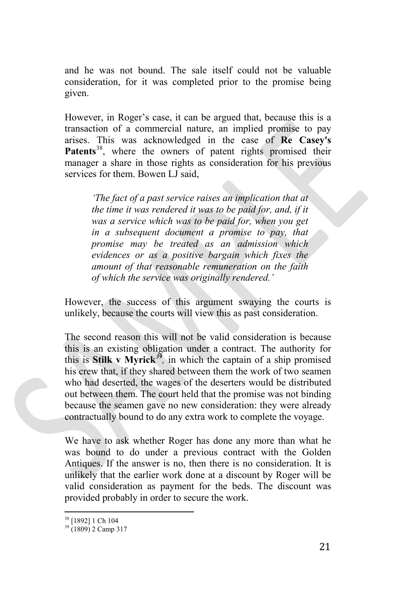and he was not bound. The sale itself could not be valuable consideration, for it was completed prior to the promise being given.

However, in Roger's case, it can be argued that, because this is a transaction of a commercial nature, an implied promise to pay arises. This was acknowledged in the case of **Re Casey's**  Patents<sup>[38](#page-20-0)</sup>, where the owners of patent rights promised their manager a share in those rights as consideration for his previous services for them. Bowen LJ said,

*'The fact of a past service raises an implication that at the time it was rendered it was to be paid for, and, if it was a service which was to be paid for, when you get in a subsequent document a promise to pay, that promise may be treated as an admission which evidences or as a positive bargain which fixes the amount of that reasonable remuneration on the faith of which the service was originally rendered.'*

However, the success of this argument swaying the courts is unlikely, because the courts will view this as past consideration.

The second reason this will not be valid consideration is because this is an existing obligation under a contract. The authority for this is **Stilk v Myrick**<sup>[39](#page-20-1)</sup>, in which the captain of a ship promised his crew that, if they shared between them the work of two seamen who had deserted, the wages of the deserters would be distributed out between them. The court held that the promise was not binding because the seamen gave no new consideration: they were already contractually bound to do any extra work to complete the voyage.

We have to ask whether Roger has done any more than what he was bound to do under a previous contract with the Golden Antiques. If the answer is no, then there is no consideration. It is unlikely that the earlier work done at a discount by Roger will be valid consideration as payment for the beds. The discount was provided probably in order to secure the work.

<span id="page-20-0"></span><sup>38</sup> [1892] 1 Ch 104

<span id="page-20-1"></span><sup>&</sup>lt;sup>39</sup> (1809) 2 Camp 317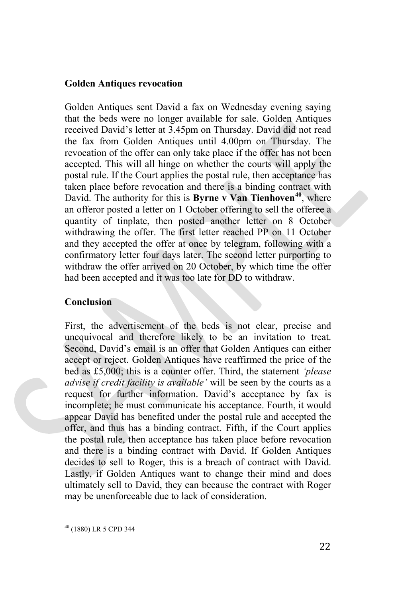### **Golden Antiques revocation**

Golden Antiques sent David a fax on Wednesday evening saying that the beds were no longer available for sale. Golden Antiques received David's letter at 3.45pm on Thursday. David did not read the fax from Golden Antiques until 4.00pm on Thursday. The revocation of the offer can only take place if the offer has not been accepted. This will all hinge on whether the courts will apply the postal rule. If the Court applies the postal rule, then acceptance has taken place before revocation and there is a binding contract with David. The authority for this is **Byrne v Van Tienhoven[40](#page-21-0)**, where an offeror posted a letter on 1 October offering to sell the offeree a quantity of tinplate, then posted another letter on 8 October withdrawing the offer. The first letter reached PP on 11 October and they accepted the offer at once by telegram, following with a confirmatory letter four days later. The second letter purporting to withdraw the offer arrived on 20 October, by which time the offer had been accepted and it was too late for DD to withdraw.

## **Conclusion**

First, the advertisement of the beds is not clear, precise and unequivocal and therefore likely to be an invitation to treat. Second, David's email is an offer that Golden Antiques can either accept or reject. Golden Antiques have reaffirmed the price of the bed as £5,000; this is a counter offer. Third, the statement *'please advise if credit facility is available'* will be seen by the courts as a request for further information. David's acceptance by fax is incomplete; he must communicate his acceptance. Fourth, it would appear David has benefited under the postal rule and accepted the offer, and thus has a binding contract. Fifth, if the Court applies the postal rule, then acceptance has taken place before revocation and there is a binding contract with David. If Golden Antiques decides to sell to Roger, this is a breach of contract with David. Lastly, if Golden Antiques want to change their mind and does ultimately sell to David, they can because the contract with Roger may be unenforceable due to lack of consideration.

<span id="page-21-0"></span><sup>40</sup> (1880) LR 5 CPD 344